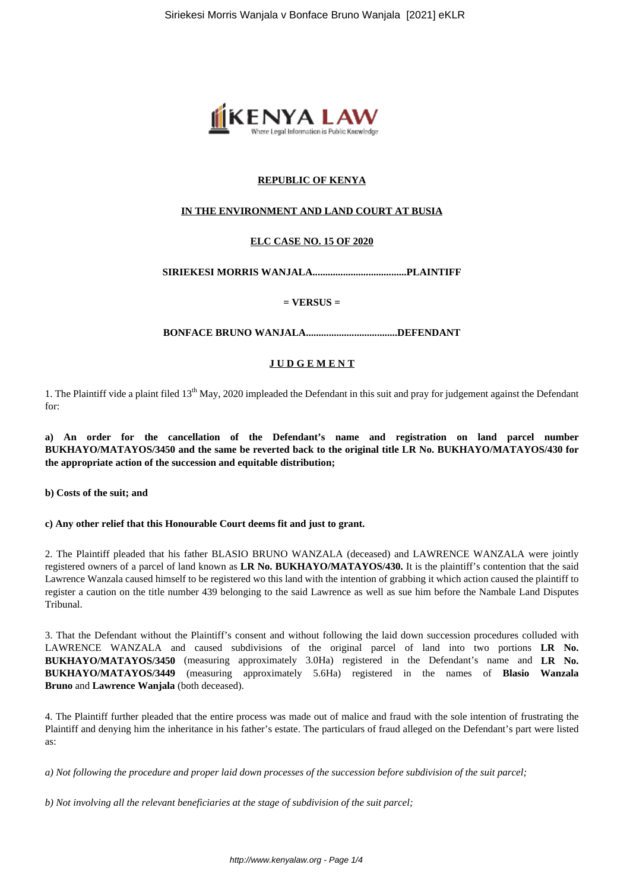

# **REPUBLIC OF KENYA**

## **IN THE ENVIRONMENT AND LAND COURT AT BUSIA**

## **ELC CASE NO. 15 OF 2020**

### **SIRIEKESI MORRIS WANJALA.....................................PLAINTIFF**

### **= VERSUS =**

#### **BONFACE BRUNO WANJALA....................................DEFENDANT**

### **J U D G E M E N T**

1. The Plaintiff vide a plaint filed 13<sup>th</sup> May, 2020 impleaded the Defendant in this suit and pray for judgement against the Defendant for:

**a) An order for the cancellation of the Defendant's name and registration on land parcel number BUKHAYO/MATAYOS/3450 and the same be reverted back to the original title LR No. BUKHAYO/MATAYOS/430 for the appropriate action of the succession and equitable distribution;**

**b) Costs of the suit; and**

#### **c) Any other relief that this Honourable Court deems fit and just to grant.**

2. The Plaintiff pleaded that his father BLASIO BRUNO WANZALA (deceased) and LAWRENCE WANZALA were jointly registered owners of a parcel of land known as **LR No. BUKHAYO/MATAYOS/430.** It is the plaintiff's contention that the said Lawrence Wanzala caused himself to be registered wo this land with the intention of grabbing it which action caused the plaintiff to register a caution on the title number 439 belonging to the said Lawrence as well as sue him before the Nambale Land Disputes Tribunal.

3. That the Defendant without the Plaintiff's consent and without following the laid down succession procedures colluded with LAWRENCE WANZALA and caused subdivisions of the original parcel of land into two portions **LR No. BUKHAYO/MATAYOS/3450** (measuring approximately 3.0Ha) registered in the Defendant's name and **LR No. BUKHAYO/MATAYOS/3449** (measuring approximately 5.6Ha) registered in the names of **Blasio Wanzala Bruno** and **Lawrence Wanjala** (both deceased).

4. The Plaintiff further pleaded that the entire process was made out of malice and fraud with the sole intention of frustrating the Plaintiff and denying him the inheritance in his father's estate. The particulars of fraud alleged on the Defendant's part were listed as:

*a) Not following the procedure and proper laid down processes of the succession before subdivision of the suit parcel;*

*b) Not involving all the relevant beneficiaries at the stage of subdivision of the suit parcel;*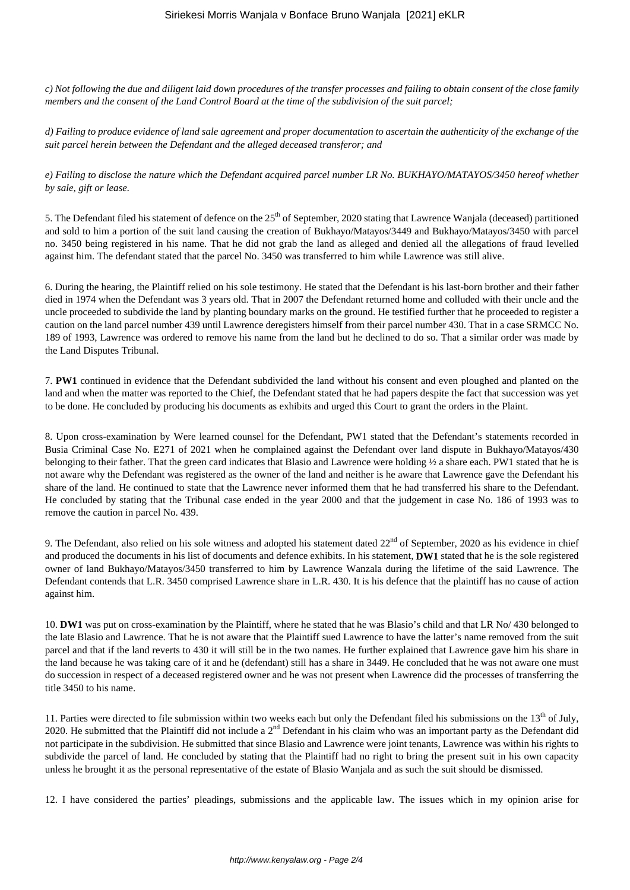*c) Not following the due and diligent laid down procedures of the transfer processes and failing to obtain consent of the close family members and the consent of the Land Control Board at the time of the subdivision of the suit parcel;*

*d) Failing to produce evidence of land sale agreement and proper documentation to ascertain the authenticity of the exchange of the suit parcel herein between the Defendant and the alleged deceased transferor; and*

*e) Failing to disclose the nature which the Defendant acquired parcel number LR No. BUKHAYO/MATAYOS/3450 hereof whether by sale, gift or lease.*

5. The Defendant filed his statement of defence on the  $25<sup>th</sup>$  of September, 2020 stating that Lawrence Wanjala (deceased) partitioned and sold to him a portion of the suit land causing the creation of Bukhayo/Matayos/3449 and Bukhayo/Matayos/3450 with parcel no. 3450 being registered in his name. That he did not grab the land as alleged and denied all the allegations of fraud levelled against him. The defendant stated that the parcel No. 3450 was transferred to him while Lawrence was still alive.

6. During the hearing, the Plaintiff relied on his sole testimony. He stated that the Defendant is his last-born brother and their father died in 1974 when the Defendant was 3 years old. That in 2007 the Defendant returned home and colluded with their uncle and the uncle proceeded to subdivide the land by planting boundary marks on the ground. He testified further that he proceeded to register a caution on the land parcel number 439 until Lawrence deregisters himself from their parcel number 430. That in a case SRMCC No. 189 of 1993, Lawrence was ordered to remove his name from the land but he declined to do so. That a similar order was made by the Land Disputes Tribunal.

7. **PW1** continued in evidence that the Defendant subdivided the land without his consent and even ploughed and planted on the land and when the matter was reported to the Chief, the Defendant stated that he had papers despite the fact that succession was yet to be done. He concluded by producing his documents as exhibits and urged this Court to grant the orders in the Plaint.

8. Upon cross-examination by Were learned counsel for the Defendant, PW1 stated that the Defendant's statements recorded in Busia Criminal Case No. E271 of 2021 when he complained against the Defendant over land dispute in Bukhayo/Matayos/430 belonging to their father. That the green card indicates that Blasio and Lawrence were holding ½ a share each. PW1 stated that he is not aware why the Defendant was registered as the owner of the land and neither is he aware that Lawrence gave the Defendant his share of the land. He continued to state that the Lawrence never informed them that he had transferred his share to the Defendant. He concluded by stating that the Tribunal case ended in the year 2000 and that the judgement in case No. 186 of 1993 was to remove the caution in parcel No. 439.

9. The Defendant, also relied on his sole witness and adopted his statement dated  $22<sup>nd</sup>$  of September, 2020 as his evidence in chief and produced the documents in his list of documents and defence exhibits. In his statement, **DW1** stated that he is the sole registered owner of land Bukhayo/Matayos/3450 transferred to him by Lawrence Wanzala during the lifetime of the said Lawrence. The Defendant contends that L.R. 3450 comprised Lawrence share in L.R. 430. It is his defence that the plaintiff has no cause of action against him.

10. **DW1** was put on cross-examination by the Plaintiff, where he stated that he was Blasio's child and that LR No/ 430 belonged to the late Blasio and Lawrence. That he is not aware that the Plaintiff sued Lawrence to have the latter's name removed from the suit parcel and that if the land reverts to 430 it will still be in the two names. He further explained that Lawrence gave him his share in the land because he was taking care of it and he (defendant) still has a share in 3449. He concluded that he was not aware one must do succession in respect of a deceased registered owner and he was not present when Lawrence did the processes of transferring the title 3450 to his name.

11. Parties were directed to file submission within two weeks each but only the Defendant filed his submissions on the  $13<sup>th</sup>$  of July, 2020. He submitted that the Plaintiff did not include a  $2<sup>nd</sup>$  Defendant in his claim who was an important party as the Defendant did not participate in the subdivision. He submitted that since Blasio and Lawrence were joint tenants, Lawrence was within his rights to subdivide the parcel of land. He concluded by stating that the Plaintiff had no right to bring the present suit in his own capacity unless he brought it as the personal representative of the estate of Blasio Wanjala and as such the suit should be dismissed.

12. I have considered the parties' pleadings, submissions and the applicable law. The issues which in my opinion arise for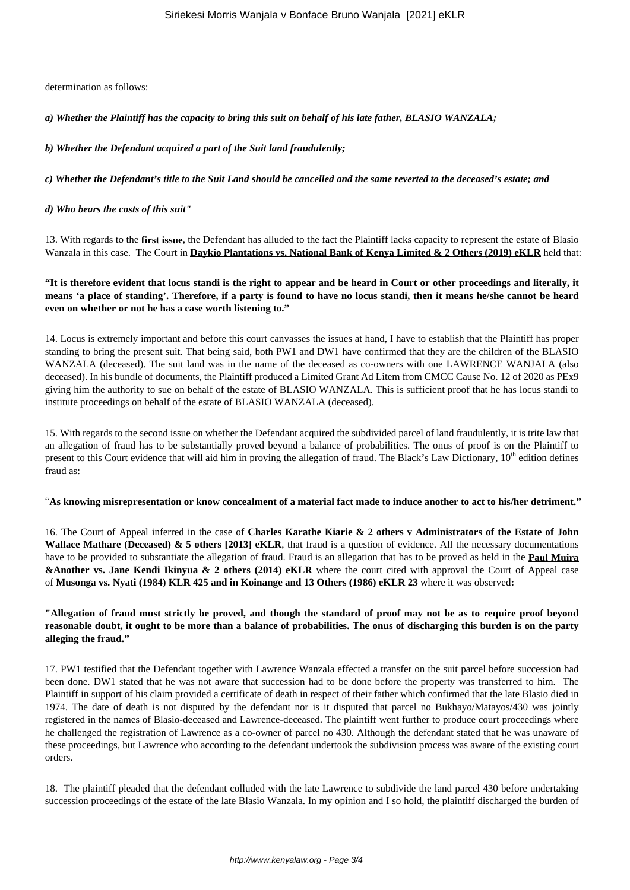determination as follows:

*a) Whether the Plaintiff has the capacity to bring this suit on behalf of his late father, BLASIO WANZALA;*

*b) Whether the Defendant acquired a part of the Suit land fraudulently;* 

*c) Whether the Defendant's title to the Suit Land should be cancelled and the same reverted to the deceased's estate; and*

*d) Who bears the costs of this suit"* 

13. With regards to the **first issue**, the Defendant has alluded to the fact the Plaintiff lacks capacity to represent the estate of Blasio Wanzala in this case. The Court in **Daykio Plantations vs. National Bank of Kenya Limited & 2 Others (2019) eKLR** held that:

**"It is therefore evident that locus standi is the right to appear and be heard in Court or other proceedings and literally, it means 'a place of standing'. Therefore, if a party is found to have no locus standi, then it means he/she cannot be heard even on whether or not he has a case worth listening to."** 

14. Locus is extremely important and before this court canvasses the issues at hand, I have to establish that the Plaintiff has proper standing to bring the present suit. That being said, both PW1 and DW1 have confirmed that they are the children of the BLASIO WANZALA (deceased). The suit land was in the name of the deceased as co-owners with one LAWRENCE WANJALA (also deceased). In his bundle of documents, the Plaintiff produced a Limited Grant Ad Litem from CMCC Cause No. 12 of 2020 as PEx9 giving him the authority to sue on behalf of the estate of BLASIO WANZALA. This is sufficient proof that he has locus standi to institute proceedings on behalf of the estate of BLASIO WANZALA (deceased).

15. With regards to the second issue on whether the Defendant acquired the subdivided parcel of land fraudulently, it is trite law that an allegation of fraud has to be substantially proved beyond a balance of probabilities. The onus of proof is on the Plaintiff to present to this Court evidence that will aid him in proving the allegation of fraud. The Black's Law Dictionary,  $10<sup>th</sup>$  edition defines fraud as:

"**As knowing misrepresentation or know concealment of a material fact made to induce another to act to his/her detriment."**

16. The Court of Appeal inferred in the case of **Charles Karathe Kiarie & 2 others v Administrators of the Estate of John Wallace Mathare (Deceased) & 5 others [2013] eKLR**, that fraud is a question of evidence. All the necessary documentations have to be provided to substantiate the allegation of fraud. Fraud is an allegation that has to be proved as held in the **Paul Muira &Another vs. Jane Kendi Ikinyua & 2 others (2014) eKLR** where the court cited with approval the Court of Appeal case of **Musonga vs. Nyati (1984) KLR 425 and in Koinange and 13 Others (1986) eKLR 23** where it was observed**:**

## **"Allegation of fraud must strictly be proved, and though the standard of proof may not be as to require proof beyond reasonable doubt, it ought to be more than a balance of probabilities. The onus of discharging this burden is on the party alleging the fraud."**

17. PW1 testified that the Defendant together with Lawrence Wanzala effected a transfer on the suit parcel before succession had been done. DW1 stated that he was not aware that succession had to be done before the property was transferred to him. The Plaintiff in support of his claim provided a certificate of death in respect of their father which confirmed that the late Blasio died in 1974. The date of death is not disputed by the defendant nor is it disputed that parcel no Bukhayo/Matayos/430 was jointly registered in the names of Blasio-deceased and Lawrence-deceased. The plaintiff went further to produce court proceedings where he challenged the registration of Lawrence as a co-owner of parcel no 430. Although the defendant stated that he was unaware of these proceedings, but Lawrence who according to the defendant undertook the subdivision process was aware of the existing court orders.

18. The plaintiff pleaded that the defendant colluded with the late Lawrence to subdivide the land parcel 430 before undertaking succession proceedings of the estate of the late Blasio Wanzala. In my opinion and I so hold, the plaintiff discharged the burden of